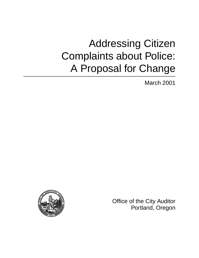# Addressing Citizen Complaints about Police: A Proposal for Change

March 2001



Office of the City Auditor Portland, Oregon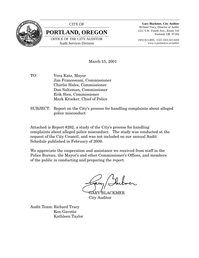

#### CITY OF

**PORTLAND, OREGON**

OFFICE OF THE CITY AUDITOR Audit Services Division

**Gary Blackmer, City Auditor** Richard Tracy, Director of Audits 1221 S.W. Fourth Ave., Room 310 Portland, OR 97204

(503) 823-4005, FAX (503) 823-4459 www.ci.portland.or.us/auditor

#### March 15, 2001

- TO: Vera Katz, Mayor Jim Francesconi, Commissioner Charlie Hales, Commissioner Dan Saltzman, Commissioner Erik Sten, Commissioner Mark Kroeker, Chief of Police
- SUBJECT: Report on the City's process for handling complaints about alleged police misconduct

Attached is Report #282, a study of the City's process for handling complaints about alleged police misconduct. The study was conducted at the request of the City Council, and was not included on our annual Audit Schedule published in February of 2000.

We appreciate the cooperation and assistance we received from staff in the Police Bureau, the Mayor's and other Commissioner's Offices, and members of the public in conducting and preparing the report.

'BLACKMER City Auditor

Audit Team: Richard Tracy Ken Gavette Kathleen Taylor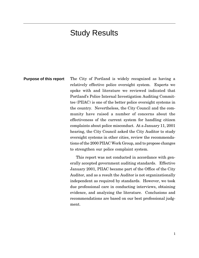### Study Results

**Purpose of this report** The City of Portland is widely recognized as having a relatively effective police oversight system. Experts we spoke with and literature we reviewed indicated that Portland's Police Internal Investigation Auditing Committee (PIIAC) is one of the better police oversight systems in the country. Nevertheless, the City Council and the community have raised a number of concerns about the effectiveness of the current system for handling citizen complaints about police misconduct. At a January 11, 2001 hearing, the City Council asked the City Auditor to study oversight systems in other cities, review the recommendations of the 2000 PIIAC Work Group, and to propose changes to strengthen our police complaint system.

> This report was not conducted in accordance with generally accepted government auditing standards. Effective January 2001, PIIAC became part of the Office of the City Auditor, and as a result the Auditor is not organizationally independent as required by standards. However, we took due professional care in conducting interviews, obtaining evidence, and analyzing the literature. Conclusions and recommendations are based on our best professional judgment.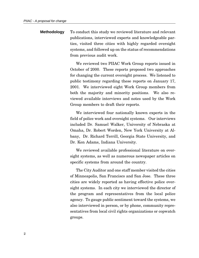To conduct this study we reviewed literature and relevant publications, interviewed experts and knowledgeable parties, visited three cities with highly regarded oversight systems, and followed up on the status of recommendations from previous audit work. **Methodology**

> We reviewed two PIIAC Work Group reports issued in October of 2000. These reports proposed two approaches for changing the current oversight process. We listened to public testimony regarding these reports on January 17, 2001. We interviewed eight Work Group members from both the majority and minority positions. We also reviewed available interviews and notes used by the Work Group members to draft their reports.

> We interviewed four nationally known experts in the field of police work and oversight systems. Our interviews included Dr. Samuel Walker, University of Nebraska at Omaha, Dr. Robert Worden, New York University at Albany, Dr. Richard Terrill, Georgia State University, and Dr. Ken Adams, Indiana University.

> We reviewed available professional literature on oversight systems, as well as numerous newspaper articles on specific systems from around the country.

> The City Auditor and one staff member visited the cities of Minneapolis, San Francisco and San Jose. These three cities are widely reported as having effective police oversight systems. In each city we interviewed the director of the program and representatives from the local police agency. To gauge public sentiment toward the systems, we also interviewed in person, or by phone, community representatives from local civil rights organizations or copwatch groups.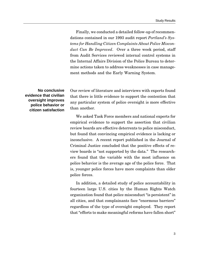Finally, we conducted a detailed follow-up of recommendations contained in our 1993 audit report *Portland's Systems for Handling Citizen Complaints About Police Misconduct Can Be Improved*. Over a three week period, staff from Audit Services reviewed internal control systems in the Internal Affairs Division of the Police Bureau to determine actions taken to address weaknesses in case management methods and the Early Warning System.

#### **No conclusive evidence that civilian oversight improves police behavior or citizen satisfaction**

Our review of literature and interviews with experts found that there is little evidence to support the contention that any particular system of police oversight is more effective than another.

We asked Task Force members and national experts for empirical evidence to support the assertion that civilian review boards are effective deterrents to police misconduct, but found that convincing empirical evidence is lacking or inconclusive. A recent report published in the Journal of Criminal Justice concluded that the positive effects of review boards is "not supported by the data." The researchers found that the variable with the most influence on police behavior is the average age of the police force. That is, younger police forces have more complaints than older police forces.

In addition, a detailed study of police accountability in fourteen large U.S. cities by the Human Rights Watch organization found that police misconduct "is persistent" in all cities, and that complainants face "enormous barriers" regardless of the type of oversight employed. They report that "efforts to make meaningful reforms have fallen short"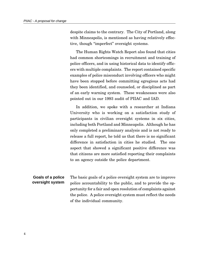despite claims to the contrary. The City of Portland, along with Minneapolis, is mentioned as having relatively effective, though "imperfect" oversight systems.

The Human Rights Watch Report also found that cities had common shortcomings in recruitment and training of police officers, and in using historical data to identify officers with multiple complaints. The report contained specific examples of police misconduct involving officers who might have been stopped before committing egregious acts had they been identified, and counseled, or disciplined as part of an early warning system. These weaknesses were also pointed out in our 1993 audit of PIIAC and IAD.

In addition, we spoke with a researcher at Indiana University who is working on a satisfaction study of participants in civilian oversight systems in six cities, including both Portland and Minneapolis. Although he has only completed a preliminary analysis and is not ready to release a full report, he told us that there is no significant difference in satisfaction in cities he studied. The one aspect that showed a significant positive difference was that citizens are more satisfied reporting their complaints to an agency outside the police department.

The basic goals of a police oversight system are to improve police accountability to the public, and to provide the opportunity for a fair and open resolution of complaints against the police. A police oversight system must reflect the needs of the individual community. **Goals of a police oversight system**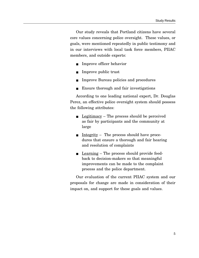Our study reveals that Portland citizens have several core values concerning police oversight. These values, or goals, were mentioned repeatedly in public testimony and in our interviews with local task force members, PIIAC members, and outside experts:

- Improve officer behavior
- Improve public trust
- Improve Bureau policies and procedures
- Ensure thorough and fair investigations

According to one leading national expert, Dr. Douglas Perez, an effective police oversight system should possess the following attributes:

- <u>Legitimacy</u> The process should be perceived as fair by participants and the community at large
- Integrity The process should have procedures that ensure a thorough and fair hearing and resolution of complaints
- Learning The process should provide feedback to decision-makers so that meaningful improvements can be made to the complaint process and the police department.

Our evaluation of the current PIIAC system and our proposals for change are made in consideration of their impact on, and support for these goals and values.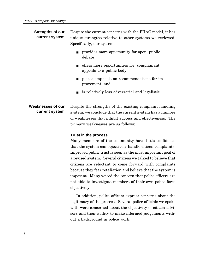| <b>Strengths of our</b><br>current system | Despite the current concerns with the PIIAC model, it has<br>unique strengths relative to other systems we reviewed.<br>Specifically, our system:                                                                       |
|-------------------------------------------|-------------------------------------------------------------------------------------------------------------------------------------------------------------------------------------------------------------------------|
|                                           | provides more opportunity for open, public<br>debate                                                                                                                                                                    |
|                                           | offers more opportunities for complainant<br>$\blacksquare$<br>appeals to a public body                                                                                                                                 |
|                                           | places emphasis on recommendations for im-<br>provement, and                                                                                                                                                            |
|                                           | is relatively less adversarial and legalistic                                                                                                                                                                           |
| Weaknesses of our<br>current system       | Despite the strengths of the existing complaint handling<br>system, we conclude that the current system has a number<br>of weaknesses that inhibit success and effectiveness. The<br>primary weaknesses are as follows: |
|                                           | Trust in the process                                                                                                                                                                                                    |
|                                           | Many members of the community have little confidence                                                                                                                                                                    |

Many members of the community have little confidence that the system can objectively handle citizen complaints. Improved public trust is seen as the most important goal of a revised system. Several citizens we talked to believe that citizens are reluctant to come forward with complaints because they fear retaliation and believe that the system is impotent. Many voiced the concern that police officers are not able to investigate members of their own police force objectively.

In addition, police officers express concerns about the legitimacy of the process. Several police officials we spoke with were concerned about the objectivity of citizen advisors and their ability to make informed judgements without a background in police work.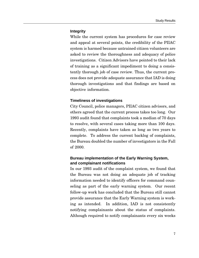#### **Integrity**

While the current system has procedures for case review and appeal at several points, the credibility of the PIIAC system is harmed because untrained citizen volunteers are asked to review the thoroughness and adequacy of police investigations. Citizen Advisors have pointed to their lack of training as a significant impediment to doing a consistently thorough job of case review. Thus, the current process does not provide adequate assurance that IAD is doing thorough investigations and that findings are based on objective information.

#### **Timeliness of investigations**

City Council, police managers, PIIAC citizen advisors, and others agreed that the current process takes too long. Our 1993 audit found that complaints took a median of 70 days to resolve, with several cases taking more than 100 days. Recently, complaints have taken as long as two years to complete. To address the current backlog of complaints, the Bureau doubled the number of investigators in the Fall of 2000.

#### **Bureau implementation of the Early Warning System, and complainant notifications**

In our 1993 audit of the complaint system, we found that the Bureau was not doing an adequate job of tracking information needed to identify officers for command counseling as part of the early warning system. Our recent follow-up work has concluded that the Bureau still cannot provide assurance that the Early Warning system is working as intended. In addition, IAD is not consistently notifying complainants about the status of complaints. Although required to notify complainants every six weeks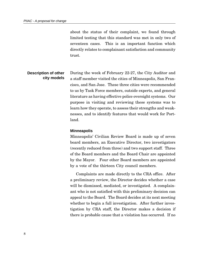about the status of their complaint, we found through limited testing that this standard was met in only two of seventeen cases. This is an important function which directly relates to complainant satisfaction and community trust.

#### **Description of other city models**

During the week of February 22-27, the City Auditor and a staff member visited the cities of Minneapolis, San Francisco, and San Jose. These three cities were recommended to us by Task Force members, outside experts, and general literature as having effective police oversight systems. Our purpose in visiting and reviewing these systems was to learn how they operate, to assess their strengths and weaknesses, and to identify features that would work for Portland.

#### **Minneapolis**

Minneapolis' Civilian Review Board is made up of seven board members, an Executive Director, two investigators (recently reduced from three) and two support staff. Three of the Board members and the Board Chair are appointed by the Mayor. Four other Board members are appointed by a vote of the thirteen City council members.

Complaints are made directly to the CRA office. After a preliminary review, the Director decides whether a case will be dismissed, mediated, or investigated. A complainant who is not satisfied with this preliminary decision can appeal to the Board. The Board decides at its next meeting whether to begin a full investigation. After further investigation by CRA staff, the Director makes a decision if there is probable cause that a violation has occurred. If no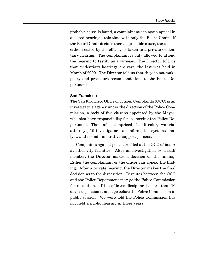probable cause is found, a complainant can again appeal in a closed hearing – this time with only the Board Chair. If the Board Chair decides there is probable cause, the case is either settled by the officer, or taken to a private evidentiary hearing. The complainant is only allowed to attend the hearing to testify as a witness. The Director told us that evidentiary hearings are rare, the last was held in March of 2000. The Director told us that they do not make policy and procedure recommendations to the Police Department.

#### **San Francisco**

The San Francisco Office of Citizen Complaints (OCC) is an investigative agency under the direction of the Police Commission, a body of five citizens appointed by the Mayor, who also have responsibility for overseeing the Police Department. The staff is comprised of a Director, two trial attorneys, 19 investigators, an information systems analyst, and six administrative support persons.

Complaints against police are filed at the OCC office, or at other city facilities. After an investigation by a staff member, the Director makes a decision on the finding. Either the complainant or the officer can appeal the finding. After a private hearing, the Director makes the final decision as to the disposition. Disputes between the OCC and the Police Department may go the Police Commission for resolution. If the officer's discipline is more than 10 days suspension it must go before the Police Commission in public session. We were told the Police Commission has not held a public hearing in three years.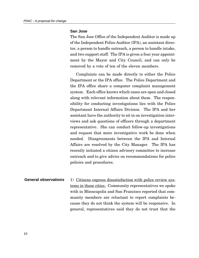#### **San Jose**

The San Jose Office of the Independent Auditor is made up of the Independent Police Auditor (IPA), an assistant director, a person to handle outreach, a person to handle intake, and two support staff. The IPA is given a four year appointment by the Mayor and City Council, and can only be removed by a vote of ten of the eleven members.

Complaints can be made directly to either the Police Department or the IPA office. The Police Department and the IPA office share a computer complaint management system. Each office knows which cases are open and closed along with relevant information about them. The responsibility for conducting investigations lies with the Police Department Internal Affairs Division. The IPA and her assistant have the authority to sit in on investigation interviews and ask questions of officers through a department representative. She can conduct follow-up investigations and request that more investigative work be done when needed. Disagreements between the IPA and Internal Affairs are resolved by the City Manager. The IPA has recently initiated a citizen advisory committee to increase outreach and to give advice on recommendations for police policies and procedures.

1) Citizens express dissatisfaction with police review systems in these cities. Community representatives we spoke with in Minneapolis and San Francisco reported that community members are reluctant to report complaints because they do not think the system will be responsive. In general, representatives said they do not trust that the **General observations**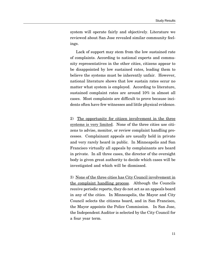system will operate fairly and objectively. Literature we reviewed about San Jose revealed similar community feelings.

Lack of support may stem from the low sustained rate of complaints. According to national experts and community representatives in the other cities, citizens appear to be disappointed by low sustained rates, leading them to believe the systems must be inherently unfair. However, national literature shows that low sustain rates occur no matter what system is employed. According to literature, sustained complaint rates are around 10% in almost all cases. Most complaints are difficult to prove because incidents often have few witnesses and little physical evidence.

2) The opportunity for citizen involvement in the three systems is very limited. None of the three cities use citizens to advise, monitor, or review complaint handling processes. Complainant appeals are usually held in private and very rarely heard in public. In Minneapolis and San Francisco virtually all appeals by complainants are heard in private. In all three cases, the director of the oversight body is given great authority to decide which cases will be investigated and which will be dismissed.

3) None of the three cities has City Council involvement in the complaint handling process. Although the Councils receive periodic reports, they do not act as an appeals board in any of the cities. In Minneapolis, the Mayor and City Council selects the citizens board, and in San Francisco, the Mayor appoints the Police Commission. In San Jose, the Independent Auditor is selected by the City Council for a four year term.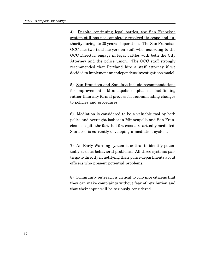4) Despite continuing legal battles, the San Francisco system still has not completely resolved its scope and authority during its 20 years of operation. The San Francisco OCC has two trial lawyers on staff who, according to the OCC Director, engage in legal battles with both the City Attorney and the police union. The OCC staff strongly recommended that Portland hire a staff attorney if we decided to implement an independent investigations model.

5) San Francisco and San Jose include recommendations for improvement. Minneapolis emphasizes fact-finding rather than any formal process for recommending changes to policies and procedures.

6) Mediation is considered to be a valuable tool by both police and oversight bodies in Minneapolis and San Francisco, despite the fact that few cases are actually mediated. San Jose is currently developing a mediation system.

7) An Early Warning system is critical to identify potentially serious behavioral problems. All three systems participate directly in notifying their police departments about officers who present potential problems.

8) Community outreach is critical to convince citizens that they can make complaints without fear of retribution and that their input will be seriously considered.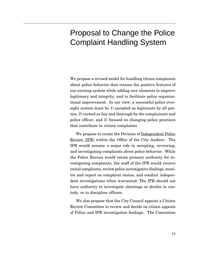### Proposal to Change the Police Complaint Handling System

We propose a revised model for handling citizen complaints about police behavior that retains the positive features of our existing system while adding new elements to improve legitimacy and integrity, and to facilitate police organizational improvement. In our view, a successful police oversight system must be 1) accepted as legitimate by all parties, 2) viewed as fair and thorough by the complainant and police officer, and 3) focused on changing police practices that contribute to citizen complaints.

We propose to create the Division of <u>Independent Police</u> Review (IPR*)* within the Office of the City Auditor. The IPR would assume a major role in accepting, reviewing, and investigating complaints about police behavior. While the Police Bureau would retain primary authority for investigating complaints, the staff of the IPR would receive initial complaints, review police investigative findings, monitor and report on complaint status, and conduct independent investigations when warranted. The IPR should not have authority to investigate shootings or deaths in custody, or to discipline officers.

We also propose that the City Council appoint a Citizen Review Committee to review and decide on citizen appeals of Police and IPR investigation findings. The Committee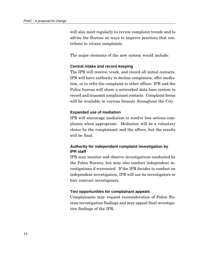will also meet regularly to review complaint trends and to advise the Bureau on ways to improve practices that contribute to citizen complaints.

The major elements of the new system would include:

#### **Central intake and record keeping**

The IPR will receive, track, and record all initial contacts. IPR will have authority to decline complaints, offer mediation, or to refer the complaint to other offices. IPR and the Police bureau will share a networked data base system to record and transmit complainant contacts. Complaint forms will be available in various formats throughout the City.

#### **Expanded use of mediation**

IPR will encourage mediation to resolve less serious complaints when appropriate. Mediation will be a voluntary choice by the complainant and the officer, but the results will be final.

#### **Authority for independent complaint investigation by IPR staff**

IPR may monitor and observe investigations conducted by the Police Bureau, but may also conduct independent investigations if warranted. If the IPR decides to conduct an independent investigation, IPR will use its investigators or hire contract investigators.

#### **Two opportunities for complainant appeals**

Complainants may request reconsideration of Police Bureau investigation findings and may appeal final investigative findings of the IPR.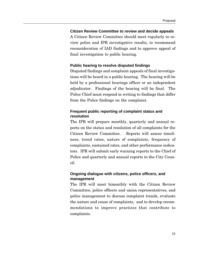#### **Citizen Review Committee to review and decide appeals**

A Citizen Review Committee should meet regularly to review police and IPR investigative results, to recommend reconsideration of IAD findings and to approve appeal of final investigation to public hearing.

#### **Public hearing to resolve disputed findings**

Disputed findings and complaint appeals of final investigations will be heard in a public hearing. The hearing will be held by a professional hearings officer or an independent adjudicator. Findings of the hearing will be final. The Police Chief must respond in writing to findings that differ from the Police findings on the complaint.

#### **Frequent public reporting of complaint status and resolution**

The IPR will prepare monthly, quarterly and annual reports on the status and resolution of all complaints for the Citizen Review Committee. Reports will assess timeliness, trend rates, nature of complaints, frequency of complaints, sustained rates, and other performance indicators. IPR will submit early warning reports to the Chief of Police and quarterly and annual reports to the City Council.

#### **Ongoing dialogue with citizens, police officers, and management**

The IPR will meet bimonthly with the Citizen Review Committee, police officers and union representatives, and police management to discuss complaint trends, evaluate the nature and cause of complaints, and to develop recommendations to improve practices that contribute to complaints.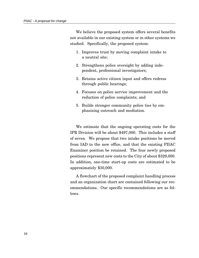We believe the proposed system offers several benefits not available in our existing system or in other systems we studied. Specifically, the proposed system:

- 1. Improves trust by moving complaint intake to a neutral site;
- 2. Strengthens police oversight by adding independent, professional investigators;
- 3. Retains active citizen input and offers redress through public hearings;
- 4. Focuses on police service improvement and the reduction of police complaints; and
- 5. Builds stronger community police ties by emphasizing outreach and mediation.

We estimate that the ongoing operating costs for the IPR Division will be about \$497,000. This includes a staff of seven. We propose that two intake positions be moved from IAD to the new office, and that the existing PIIAC Examiner position be retained. The four newly proposed positions represent new costs to the City of about \$329,000. In addition, one-time start-up costs are estimated to be approximately \$30,000.

A flowchart of the proposed complaint handling process and an organization chart are contained following our recommendations. Our specific recommendations are as follows.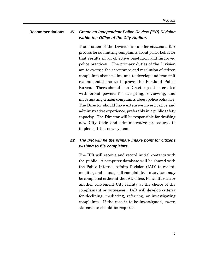#### **Recommendations #1 Create an Independent Police Review (IPR) Division within the Office of the City Auditor.**

The mission of the Division is to offer citizens a fair process for submitting complaints about police behavior that results in an objective resolution and improved police practices. The primary duties of the Division are to oversee the acceptance and resolution of citizen complaints about police, and to develop and transmit recommendations to improve the Portland Police Bureau. There should be a Director position created with broad powers for accepting, reviewing, and investigating citizen complaints about police behavior. The Director should have extensive investigative and administrative experience, preferably in a public safety capacity. The Director will be responsible for drafting new City Code and administrative procedures to implement the new system.

#### **#2 The IPR will be the primary intake point for citizens wishing to file complaints.**

The IPR will receive and record initial contacts with the public. A computer database will be shared with the Police Internal Affairs Division (IAD) to record, monitor, and manage all complaints. Interviews may be completed either at the IAD office, Police Bureau or another convenient City facility at the choice of the complainant or witnesses. IAD will develop criteria for declining, mediating, referring, or investigating complaints. If the case is to be investigated, sworn statements should be required.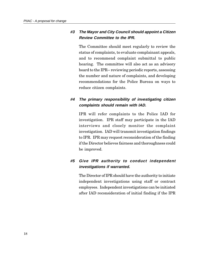#### **#3 The Mayor and City Council should appoint a Citizen Review Committee to the IPR.**

The Committee should meet regularly to review the status of complaints, to evaluate complainant appeals, and to recommend complaint submittal to public hearing. The committee will also act as an advisory board to the IPR-- reviewing periodic reports, assessing the number and nature of complaints, and developing recommendations for the Police Bureau on ways to reduce citizen complaints.

#### **#4 The primary responsibility of investigating citizen complaints should remain with IAD.**

IPR will refer complaints to the Police IAD for investigation. IPR staff may participate in the IAD interviews and closely monitor the complaint investigation. IAD will transmit investigation findings to IPR. IPR may request reconsideration of the finding if the Director believes fairness and thoroughness could be improved.

#### **#5 Give IPR authority to conduct independent investigations if warranted.**

The Director of IPR should have the authority to initiate independent investigations using staff or contract employees. Independent investigations can be initiated after IAD reconsideration of initial finding if the IPR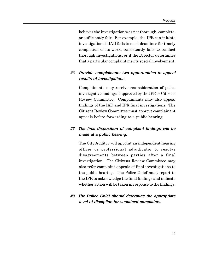believes the investigation was not thorough, complete, or sufficiently fair. For example, the IPR can initiate investigations if IAD fails to meet deadlines for timely completion of its work, consistently fails to conduct thorough investigations, or if the Director determines that a particular complaint merits special involvement.

#### **#6 Provide complainants two opportunities to appeal results of investigations.**

Complainants may receive reconsideration of police investigative findings if approved by the IPR or Citizens Review Committee. Complainants may also appeal findings of the IAD and IPR final investigations. The Citizens Review Committee must approve complainant appeals before forwarding to a public hearing.

#### **#7 The final disposition of complaint findings will be made at a public hearing.**

The City Auditor will appoint an independent hearing officer or professional adjudicator to resolve disagreements between parties after a final investigation. The Citizens Review Committee may also refer complaint appeals of final investigations to the public hearing. The Police Chief must report to the IPR to acknowledge the final findings and indicate whether action will be taken in response to the findings.

#### **#8 The Police Chief should determine the appropriate level of discipline for sustained complaints.**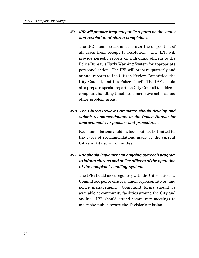#### **#9 IPR will prepare frequent public reports on the status and resolution of citizen complaints.**

The IPR should track and monitor the disposition of all cases from receipt to resolution. The IPR will provide periodic reports on individual officers to the Police Bureau's Early Warning System for appropriate personnel action. The IPR will prepare quarterly and annual reports to the Citizen Review Committee, the City Council, and the Police Chief. The IPR should also prepare special reports to City Council to address complaint handling timeliness, corrective actions, and other problem areas.

### **#10 The Citizen Review Committee should develop and submit recommendations to the Police Bureau for improvements to policies and procedures.**

Recommendations could include, but not be limited to, the types of recommendations made by the current Citizens Advisory Committee.

### **#11 IPR should implement an ongoing outreach program to inform citizens and police officers of the operation of the complaint handling system.**

The IPR should meet regularly with the Citizen Review Committee, police officers, union representatives, and police management. Complaint forms should be available at community facilities around the City and on-line. IPR should attend community meetings to make the public aware the Division's mission.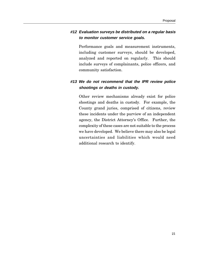#### **#12 Evaluation surveys be distributed on a regular basis to monitor customer service goals.**

Performance goals and measurement instruments, including customer surveys, should be developed, analyzed and reported on regularly. This should include surveys of complainants, police officers, and community satisfaction.

#### **#13 We do not recommend that the IPR review police shootings or deaths in custody.**

Other review mechanisms already exist for police shootings and deaths in custody. For example, the County grand juries, comprised of citizens, review these incidents under the purview of an independent agency, the District Attorney's Office. Further, the complexity of these cases are not suitable to the process we have developed. We believe there may also be legal uncertainties and liabilities which would need additional research to identify.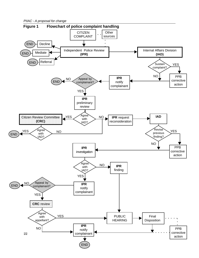PIIAC - A proposal for change

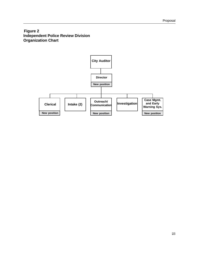#### **Figure 2 Independent Police Review Division Organization Chart**

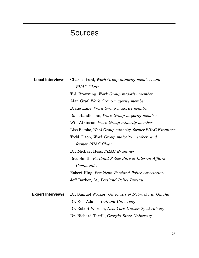## Sources

| <b>Local Interviews</b>  | Charles Ford, Work Group minority member, and           |
|--------------------------|---------------------------------------------------------|
|                          | PIIAC Chair                                             |
|                          | T.J. Browning, Work Group majority member               |
|                          | Alan Graf, Work Group majority member                   |
|                          | Diane Lane, Work Group majority member                  |
|                          | Dan Handleman, Work Group majority member               |
|                          | Will Atkinson, Work Group minority member               |
|                          | Lisa Botsko, Work Group minority, former PIIAC Examiner |
|                          | Todd Olson, Work Group majority member, and             |
|                          | former PIIAC Chair                                      |
|                          | Dr. Michael Hess, PIIAC Examiner                        |
|                          | Bret Smith, Portland Police Bureau Internal Affairs     |
|                          | Commander                                               |
|                          | Robert King, President, Portland Police Association     |
|                          | Jeff Barker, Lt., Portland Police Bureau                |
|                          |                                                         |
| <b>Expert Interviews</b> | Dr. Samuel Walker, University of Nebraska at Omaha      |
|                          | Dr. Ken Adams, <i>Indiana University</i>                |
|                          | Dr. Robert Worden, New York University at Albany        |
|                          | Dr. Richard Terrill, Georgia State University           |
|                          |                                                         |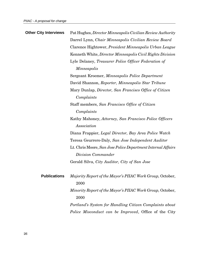| <b>Other City Interviews</b> | Pat Hughes, Director Minneapolis Civilian Review Authority   |
|------------------------------|--------------------------------------------------------------|
|                              | Darrel Lynn, Chair Minneapolis Civilian Review Board         |
|                              | Clarence Hightower, President Minneapolis Urban League       |
|                              | Kenneth White, Director Minneapolis Civil Rights Division    |
|                              | Lyle Delaney, Treasurer Police Officer Federation of         |
|                              | Minneapolis                                                  |
|                              | Sergeant Kroemer, Minneapolis Police Department              |
|                              | David Shannon, Reporter, Minneapolis Star Tribune            |
|                              | Mary Dunlap, Director, San Francisco Office of Citizen       |
|                              | Complaints                                                   |
|                              | Staff members, San Francisco Office of Citizen               |
|                              | Complaints                                                   |
|                              | Kathy Mahoney, Attorney, San Francisco Police Officers       |
|                              | Association                                                  |
|                              | Diana Frappier, Legal Director, Bay Area Police Watch        |
|                              | Teresa Geurrero-Daly, San Jose Independent Auditor           |
|                              | Lt. Chris Moore, San Jose Police Department Internal Affairs |
|                              | Division Commander                                           |
|                              | Gerald Silva, City Auditor, City of San Jose                 |
|                              |                                                              |
| <b>Publications</b>          | Majority Report of the Mayor's PIIAC Work Group, October,    |
|                              | 2000                                                         |
|                              | Minority Report of the Mayor's PIIAC Work Group, October,    |
|                              | 2000                                                         |
|                              | Portland's System for Handling Citizen Complaints about      |
|                              | Police Misconduct can be Improved, Office of the City        |